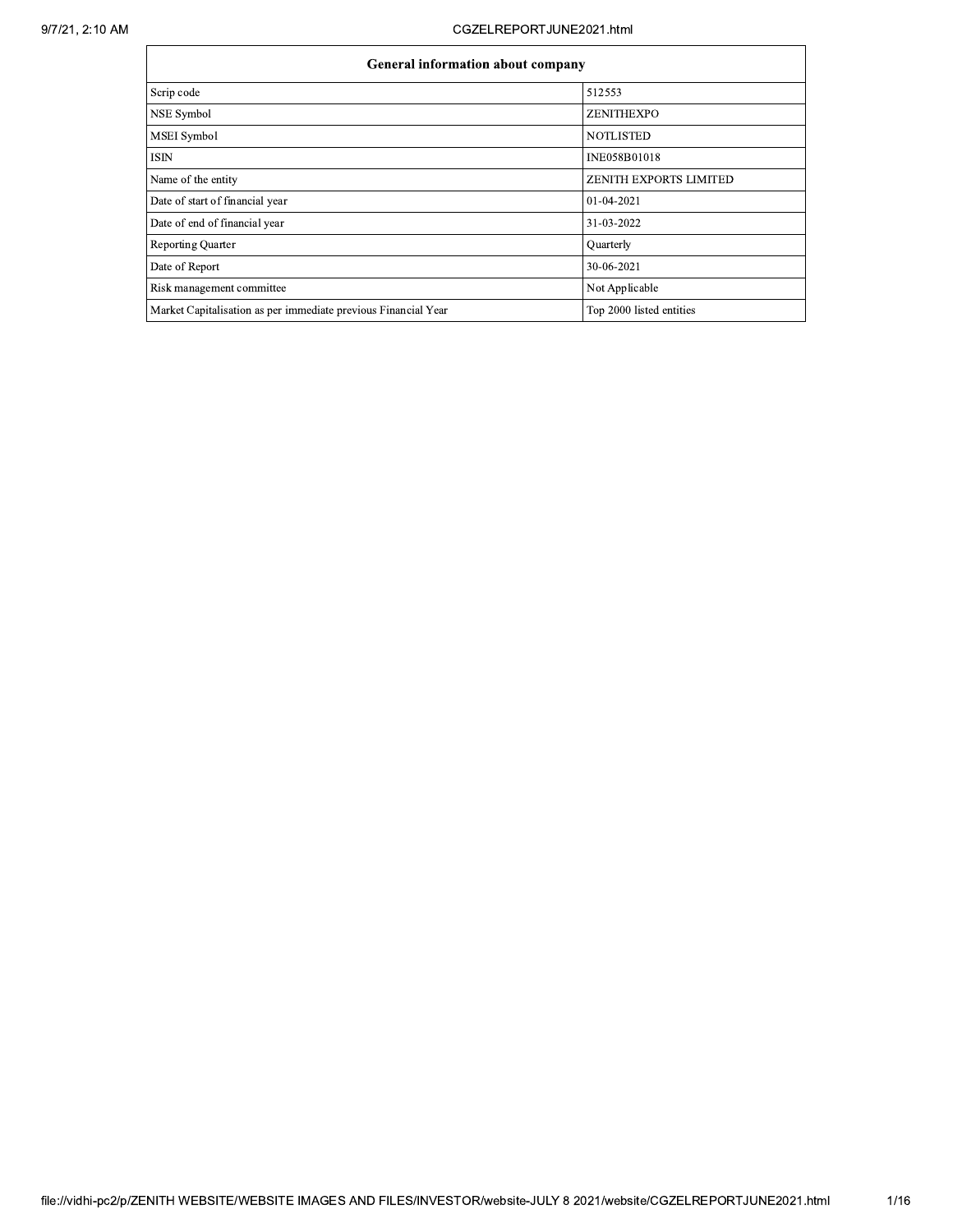|                                                                | <b>General information about company</b> |  |  |  |  |  |  |  |  |
|----------------------------------------------------------------|------------------------------------------|--|--|--|--|--|--|--|--|
| Scrip code                                                     | 512553                                   |  |  |  |  |  |  |  |  |
| NSE Symbol                                                     | ZENITHEXPO                               |  |  |  |  |  |  |  |  |
| <b>MSEI</b> Symbol                                             | <b>NOTLISTED</b>                         |  |  |  |  |  |  |  |  |
| <b>ISIN</b>                                                    | INE058B01018                             |  |  |  |  |  |  |  |  |
| Name of the entity                                             | <b>ZENITH EXPORTS LIMITED</b>            |  |  |  |  |  |  |  |  |
| Date of start of financial year                                | 01-04-2021                               |  |  |  |  |  |  |  |  |
| Date of end of financial year                                  | 31-03-2022                               |  |  |  |  |  |  |  |  |
| <b>Reporting Quarter</b>                                       | Quarterly                                |  |  |  |  |  |  |  |  |
| Date of Report                                                 | 30-06-2021                               |  |  |  |  |  |  |  |  |
| Risk management committee                                      | Not Applicable                           |  |  |  |  |  |  |  |  |
| Market Capitalisation as per immediate previous Financial Year | Top 2000 listed entities                 |  |  |  |  |  |  |  |  |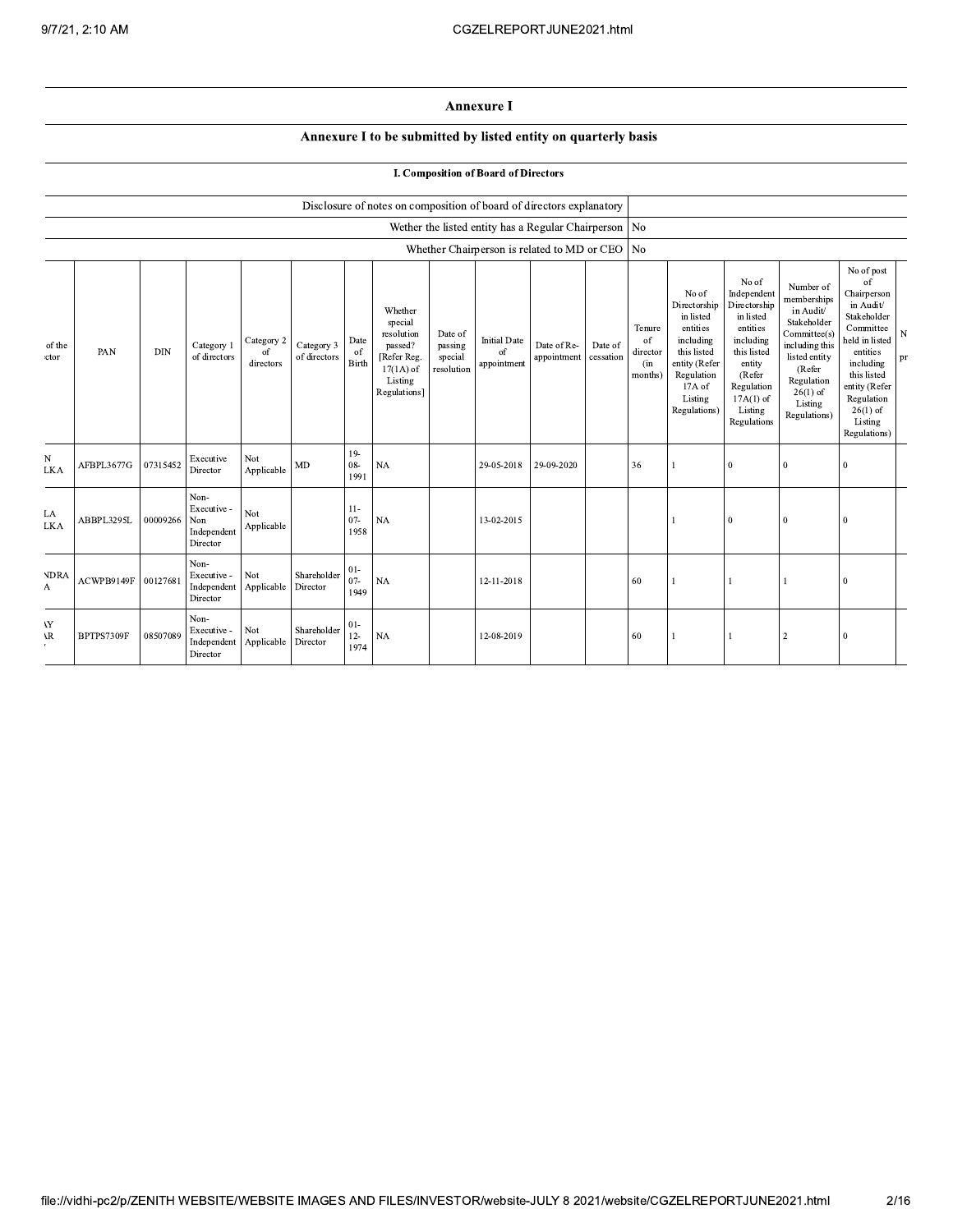## **Annexure I**

## Annexure I to be submitted by listed entity on quarterly basis

|  |  | <b>I. Composition of Board of Directors</b> |  |  |
|--|--|---------------------------------------------|--|--|
|--|--|---------------------------------------------|--|--|

|                  |            |            |                                                       |                               |                            |                                | Disclosure of notes on composition of board of directors explanatory                                 |                                             |                                                         |                            |                      |                                            |                                                                                                                                                |                                                                                                                                                                      |                                                                                                                                                                          |                                                                                                                                                                                                            |         |
|------------------|------------|------------|-------------------------------------------------------|-------------------------------|----------------------------|--------------------------------|------------------------------------------------------------------------------------------------------|---------------------------------------------|---------------------------------------------------------|----------------------------|----------------------|--------------------------------------------|------------------------------------------------------------------------------------------------------------------------------------------------|----------------------------------------------------------------------------------------------------------------------------------------------------------------------|--------------------------------------------------------------------------------------------------------------------------------------------------------------------------|------------------------------------------------------------------------------------------------------------------------------------------------------------------------------------------------------------|---------|
|                  |            |            |                                                       |                               |                            |                                |                                                                                                      |                                             | Wether the listed entity has a Regular Chairperson   No |                            |                      |                                            |                                                                                                                                                |                                                                                                                                                                      |                                                                                                                                                                          |                                                                                                                                                                                                            |         |
|                  |            |            |                                                       |                               |                            |                                |                                                                                                      |                                             | Whether Chairperson is related to MD or CEO   No        |                            |                      |                                            |                                                                                                                                                |                                                                                                                                                                      |                                                                                                                                                                          |                                                                                                                                                                                                            |         |
| of the<br>ctor   | PAN        | <b>DIN</b> | Category 1<br>of directors                            | Category 2<br>of<br>directors | Category 3<br>of directors | Date<br><sup>of</sup><br>Birth | Whether<br>special<br>resolution<br>passed?<br>[Refer Reg.<br>$17(1A)$ of<br>Listing<br>Regulations] | Date of<br>passing<br>special<br>resolution | <b>Initial Date</b><br>of<br>appointment                | Date of Re-<br>appointment | Date of<br>cessation | Tenure<br>of<br>director<br>(in<br>months) | No of<br>Directorship<br>in listed<br>entities<br>including<br>this listed<br>entity (Refer<br>Regulation<br>17A of<br>Listing<br>Regulations) | No of<br>Independent<br>Directorship<br>in listed<br>entities<br>including<br>this listed<br>entity<br>(Refer<br>Regulation<br>$17A(1)$ of<br>Listing<br>Regulations | Number of<br>memberships<br>in Audit/<br>Stakeholder<br>Committee(s)<br>including this<br>listed entity<br>(Refer<br>Regulation<br>$26(1)$ of<br>Listing<br>Regulations) | No of post<br>of<br>Chairperson<br>in Audit/<br>Stakeholder<br>Committee<br>held in listed<br>entities<br>including<br>this listed<br>entity (Refer<br>Regulation<br>$26(1)$ of<br>Listing<br>Regulations) | N<br>pr |
| N<br><b>LKA</b>  | AFBPL3677G | 07315452   | Executive<br>Director                                 | Not<br>Applicable             | MD                         | $19-$<br>08-<br>1991           | <b>NA</b>                                                                                            |                                             | 29-05-2018                                              | 29-09-2020                 |                      | 36                                         |                                                                                                                                                | $\bf{0}$                                                                                                                                                             | $\mathbf{0}$                                                                                                                                                             | $\Omega$                                                                                                                                                                                                   |         |
| LA<br><b>LKA</b> | ABBPL3295L | 00009266   | Non-<br>Executive -<br>Non<br>Independent<br>Director | Not<br>Applicable             |                            | $11-$<br>$07 -$<br>1958        | <b>NA</b>                                                                                            |                                             | 13-02-2015                                              |                            |                      |                                            |                                                                                                                                                | $\theta$                                                                                                                                                             | $\mathbf{0}$                                                                                                                                                             | $\Omega$                                                                                                                                                                                                   |         |
| <b>NDRA</b><br>A | ACWPB9149F | 00127681   | Non-<br>Executive -<br>Independent<br>Director        | Not<br>Applicable             | Shareholder<br>Director    | $01 -$<br>$07 -$<br>1949       | <b>NA</b>                                                                                            |                                             | 12-11-2018                                              |                            |                      | 60                                         |                                                                                                                                                |                                                                                                                                                                      |                                                                                                                                                                          | $\theta$                                                                                                                                                                                                   |         |
| YY<br>١R         | BPTPS7309F | 08507089   | Non-<br>Executive -<br>Independent<br>Director        | Not<br>Applicable             | Shareholder<br>Director    | $01-$<br>$12 -$<br>1974        | <b>NA</b>                                                                                            |                                             | 12-08-2019                                              |                            |                      | 60                                         |                                                                                                                                                |                                                                                                                                                                      | $\overline{2}$                                                                                                                                                           | $\theta$                                                                                                                                                                                                   |         |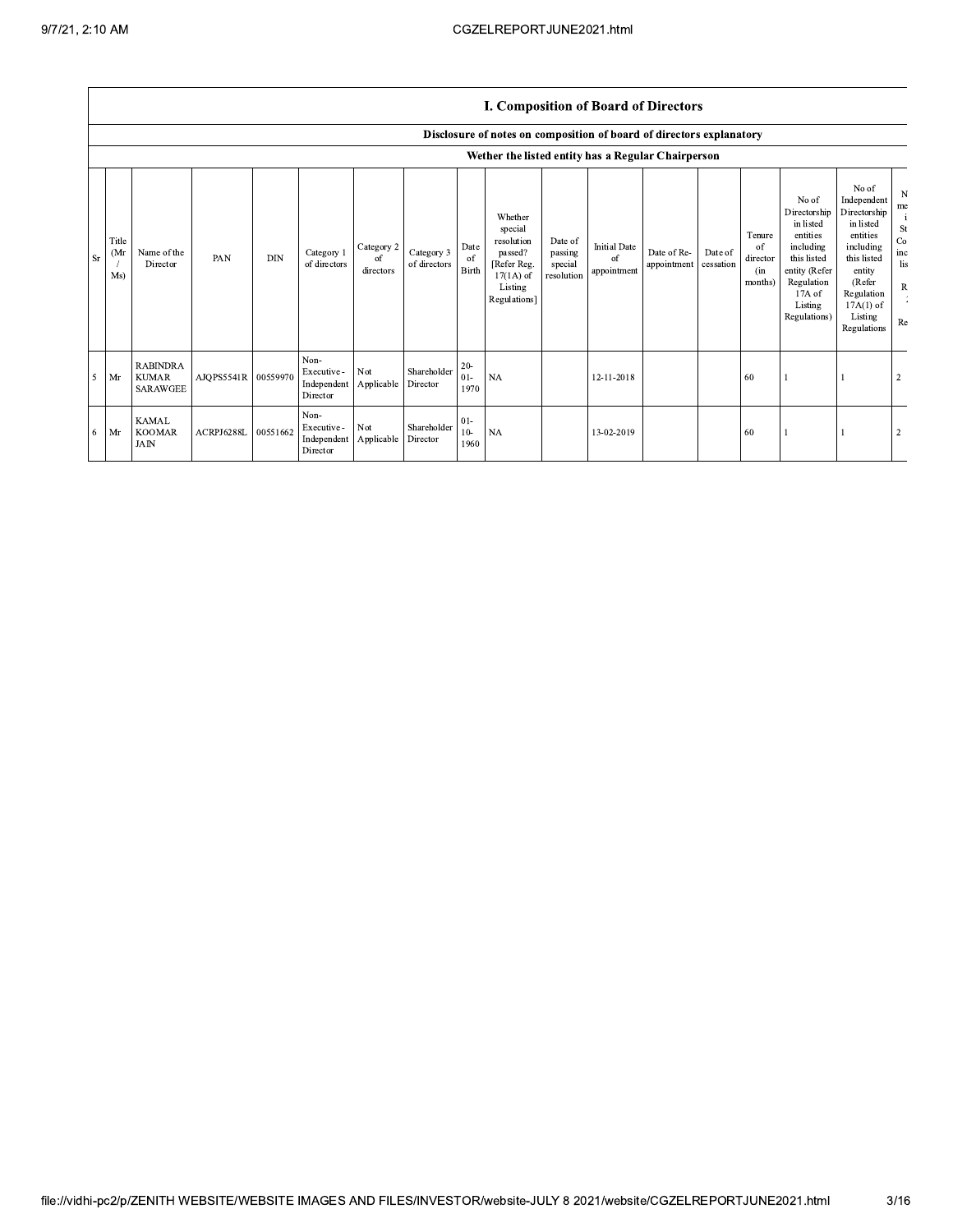## I. Composition of Board of Directors

|                |                      |                                                    |            |            |                                                |                               |                            |                          | Disclosure of notes on composition of board of directors explanatory                                 |                                             |                                          |                            |                      |                                            |                                                                                                                                                  |                                                                                                                                                                      |                                                         |
|----------------|----------------------|----------------------------------------------------|------------|------------|------------------------------------------------|-------------------------------|----------------------------|--------------------------|------------------------------------------------------------------------------------------------------|---------------------------------------------|------------------------------------------|----------------------------|----------------------|--------------------------------------------|--------------------------------------------------------------------------------------------------------------------------------------------------|----------------------------------------------------------------------------------------------------------------------------------------------------------------------|---------------------------------------------------------|
|                |                      |                                                    |            |            |                                                |                               |                            |                          | Wether the listed entity has a Regular Chairperson                                                   |                                             |                                          |                            |                      |                                            |                                                                                                                                                  |                                                                                                                                                                      |                                                         |
| <sub>Sr</sub>  | Title<br>(Mr)<br>Ms) | Name of the<br>Director                            | PAN        | <b>DIN</b> | Category 1<br>of directors                     | Category 2<br>of<br>directors | Category 3<br>of directors | Date<br>of<br>Birth      | Whether<br>special<br>resolution<br>passed?<br>[Refer Reg.<br>$17(1A)$ of<br>Listing<br>Regulations] | Date of<br>passing<br>special<br>resolution | <b>Initial Date</b><br>of<br>appointment | Date of Re-<br>appointment | Date of<br>cessation | Tenure<br>of<br>director<br>(in<br>months) | No of<br>Directorship<br>in listed<br>entities<br>including<br>this listed<br>entity (Refer<br>Regulation<br>$17A$ of<br>Listing<br>Regulations) | No of<br>Independent<br>Directorship<br>in listed<br>entities<br>including<br>this listed<br>entity<br>(Refer<br>Regulation<br>$17A(1)$ of<br>Listing<br>Regulations | N<br>me<br>St<br>Co<br>inc<br>lis<br>$\mathbb{R}$<br>Re |
| $\overline{5}$ | Mr                   | <b>RABINDRA</b><br><b>KUMAR</b><br><b>SARAWGEE</b> | AJQPS5541R | 00559970   | Non-<br>Executive -<br>Independent<br>Director | Not<br>Applicable             | Shareholder<br>Director    | $20 -$<br>$01 -$<br>1970 | <b>NA</b>                                                                                            |                                             | 12-11-2018                               |                            |                      | 60                                         |                                                                                                                                                  |                                                                                                                                                                      |                                                         |
| - 6            | Mr                   | <b>KAMAL</b><br><b>KOOMAR</b><br><b>JAIN</b>       | ACRPJ6288L | 00551662   | Non-<br>Executive -<br>Independent<br>Director | Not<br>Applicable             | Shareholder<br>Director    | $01 -$<br>$10-$<br>1960  | <b>NA</b>                                                                                            |                                             | 13-02-2019                               |                            |                      | -60                                        |                                                                                                                                                  |                                                                                                                                                                      |                                                         |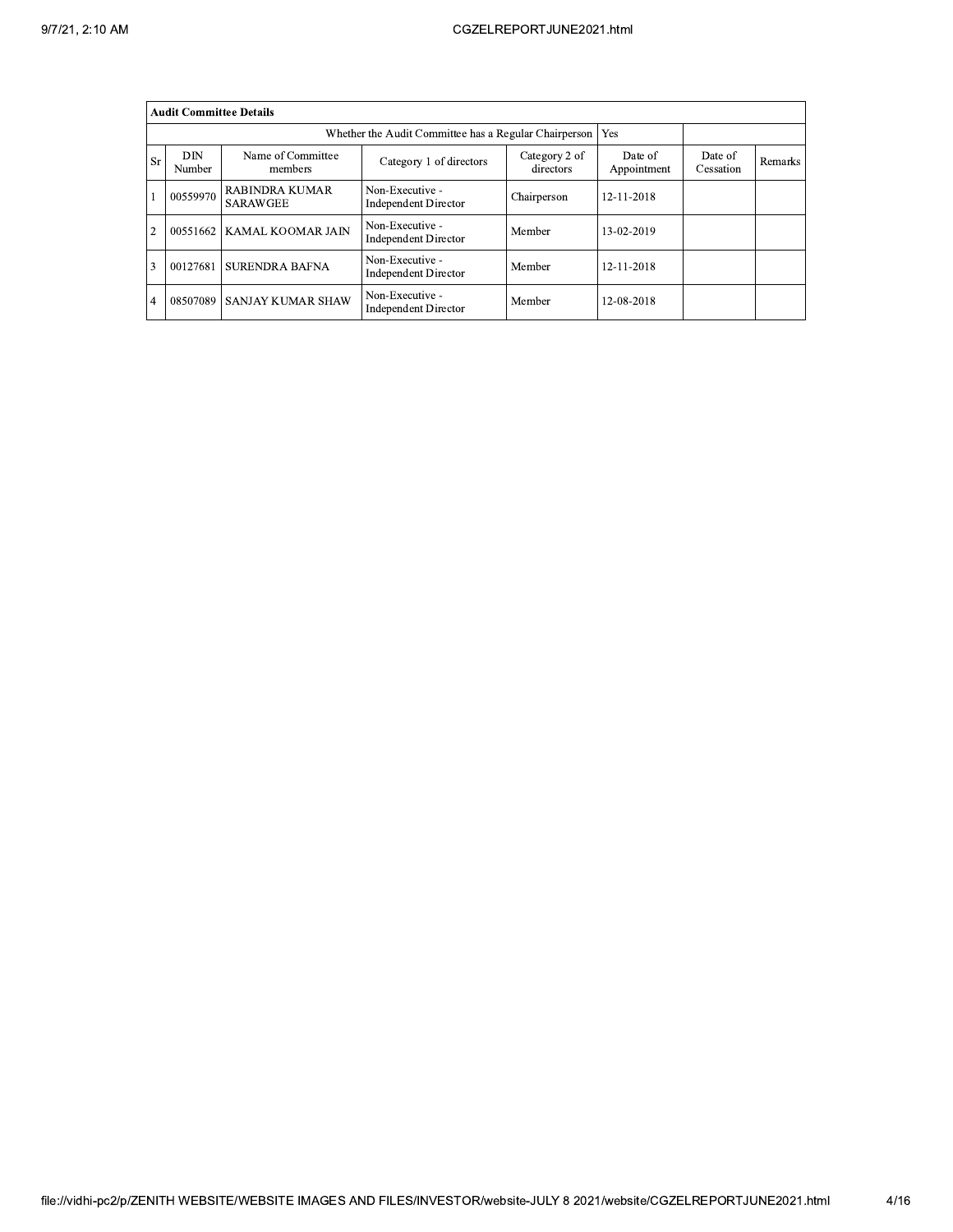|                | <b>Audit Committee Details</b> |                                   |                                                       |                            |                        |                      |         |
|----------------|--------------------------------|-----------------------------------|-------------------------------------------------------|----------------------------|------------------------|----------------------|---------|
|                |                                |                                   | Whether the Audit Committee has a Regular Chairperson |                            | Yes                    |                      |         |
| Sr             | DIN<br>Number                  | Name of Committee<br>members      | Category 1 of directors                               | Category 2 of<br>directors | Date of<br>Appointment | Date of<br>Cessation | Remarks |
|                | 00559970                       | RABINDRA KUMAR<br><b>SARAWGEE</b> | Non-Executive -<br><b>Independent Director</b>        | Chairperson                | 12-11-2018             |                      |         |
| $\overline{2}$ | 00551662                       | <b>KAMAL KOOMAR JAIN</b>          | Non-Executive -<br><b>Independent Director</b>        | Member                     | 13-02-2019             |                      |         |
| 3              | 00127681                       | I SURENDRA BAFNA                  | Non-Executive -<br><b>Independent Director</b>        | Member                     | 12-11-2018             |                      |         |
| $\overline{4}$ | 08507089                       | <b>SANJAY KUMAR SHAW</b>          | Non-Executive -<br><b>Independent Director</b>        | Member                     | 12-08-2018             |                      |         |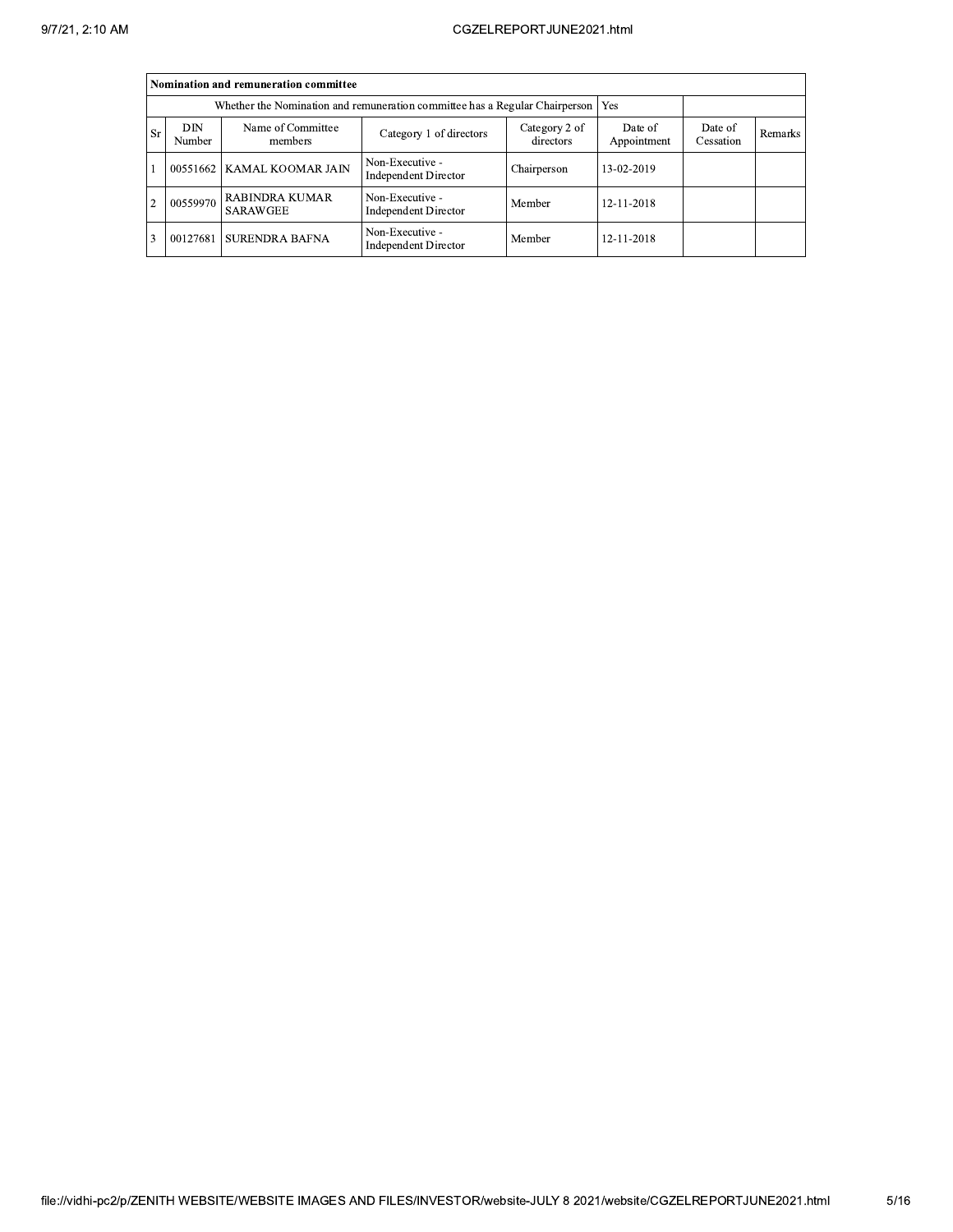|                |               | Nomination and remuneration committee               |                                                                             |                        |                      |         |  |
|----------------|---------------|-----------------------------------------------------|-----------------------------------------------------------------------------|------------------------|----------------------|---------|--|
|                |               |                                                     | Whether the Nomination and remuneration committee has a Regular Chairperson |                        | Yes                  |         |  |
| <b>Sr</b>      | DIN<br>Number | Name of Committee<br>members                        | Category 2 of<br>directors                                                  | Date of<br>Appointment | Date of<br>Cessation | Remarks |  |
|                |               | 00551662   KAMAL KOOMAR JAIN                        | Non-Executive -<br><b>Independent Director</b>                              | Chairperson            | 13-02-2019           |         |  |
| $\overline{2}$ |               | $\left[\right]$ 00559970 RABINDRA KUMAR<br>SARAWGEE | Non-Executive -<br><b>Independent Director</b>                              | Member                 | 12-11-2018           |         |  |
| 3              | 00127681      | <b>SURENDRA BAFNA</b>                               | Non-Executive -<br><b>Independent Director</b>                              | Member                 | 12-11-2018           |         |  |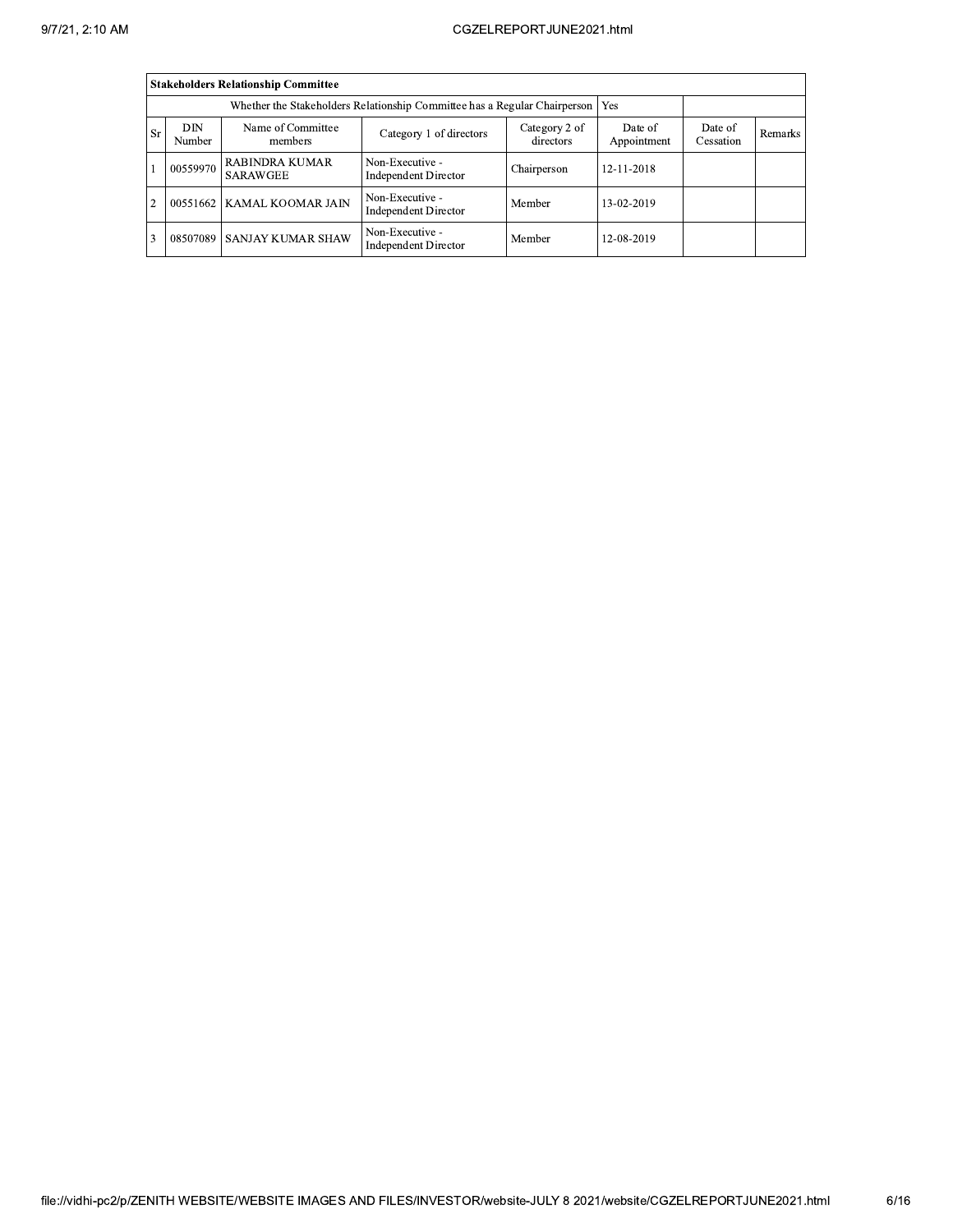|                |               | <b>Stakeholders Relationship Committee</b> |                                                                                 |                        |                      |         |  |
|----------------|---------------|--------------------------------------------|---------------------------------------------------------------------------------|------------------------|----------------------|---------|--|
|                |               |                                            | Whether the Stakeholders Relationship Committee has a Regular Chairperson   Yes |                        |                      |         |  |
| <b>Sr</b>      | DIN<br>Number | Name of Committee<br>members               | Category 2 of<br>directors                                                      | Date of<br>Appointment | Date of<br>Cessation | Remarks |  |
|                | 00559970      | <b>RABINDRA KUMAR</b><br><b>SARAWGEE</b>   | Non-Executive -<br><b>Independent Director</b>                                  | Chairperson            | 12-11-2018           |         |  |
| $\overline{2}$ |               | 00551662   KAMAL KOOMAR JAIN               | Non-Executive -<br><b>Independent Director</b>                                  | Member                 | 13-02-2019           |         |  |
| 3              |               | 08507089 SANJAY KUMAR SHAW                 | Non-Executive -<br><b>Independent Director</b>                                  | Member                 | 12-08-2019           |         |  |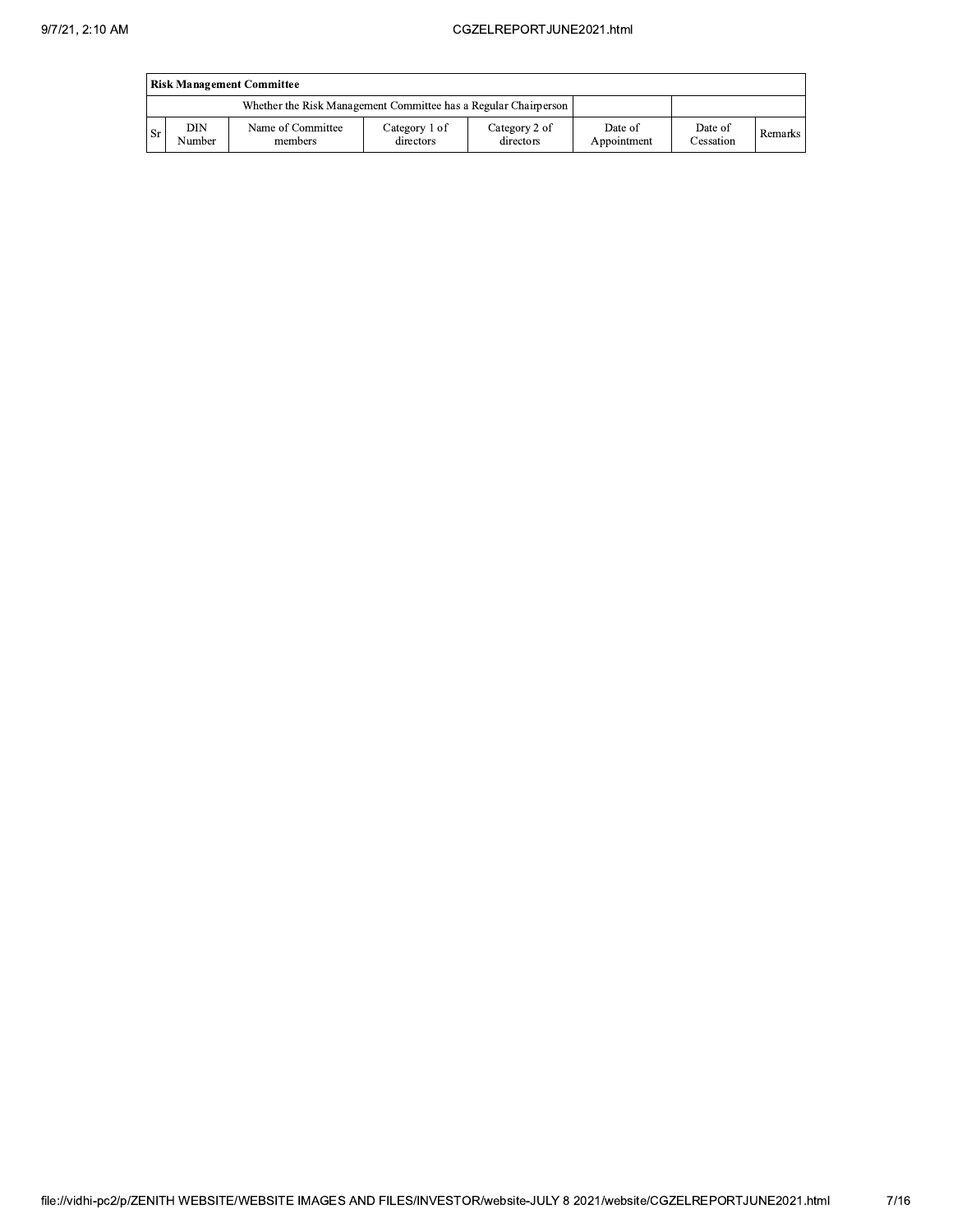|      | <b>Risk Management Committee</b> |                                                                 |                            |                            |                        |                      |         |  |  |  |  |  |
|------|----------------------------------|-----------------------------------------------------------------|----------------------------|----------------------------|------------------------|----------------------|---------|--|--|--|--|--|
|      |                                  | Whether the Risk Management Committee has a Regular Chairperson |                            |                            |                        |                      |         |  |  |  |  |  |
| . Sr | DIN<br>Number                    | Name of Committee<br>members                                    | Category 1 of<br>directors | Category 2 of<br>directors | Date of<br>Appointment | Date of<br>Cessation | Remarks |  |  |  |  |  |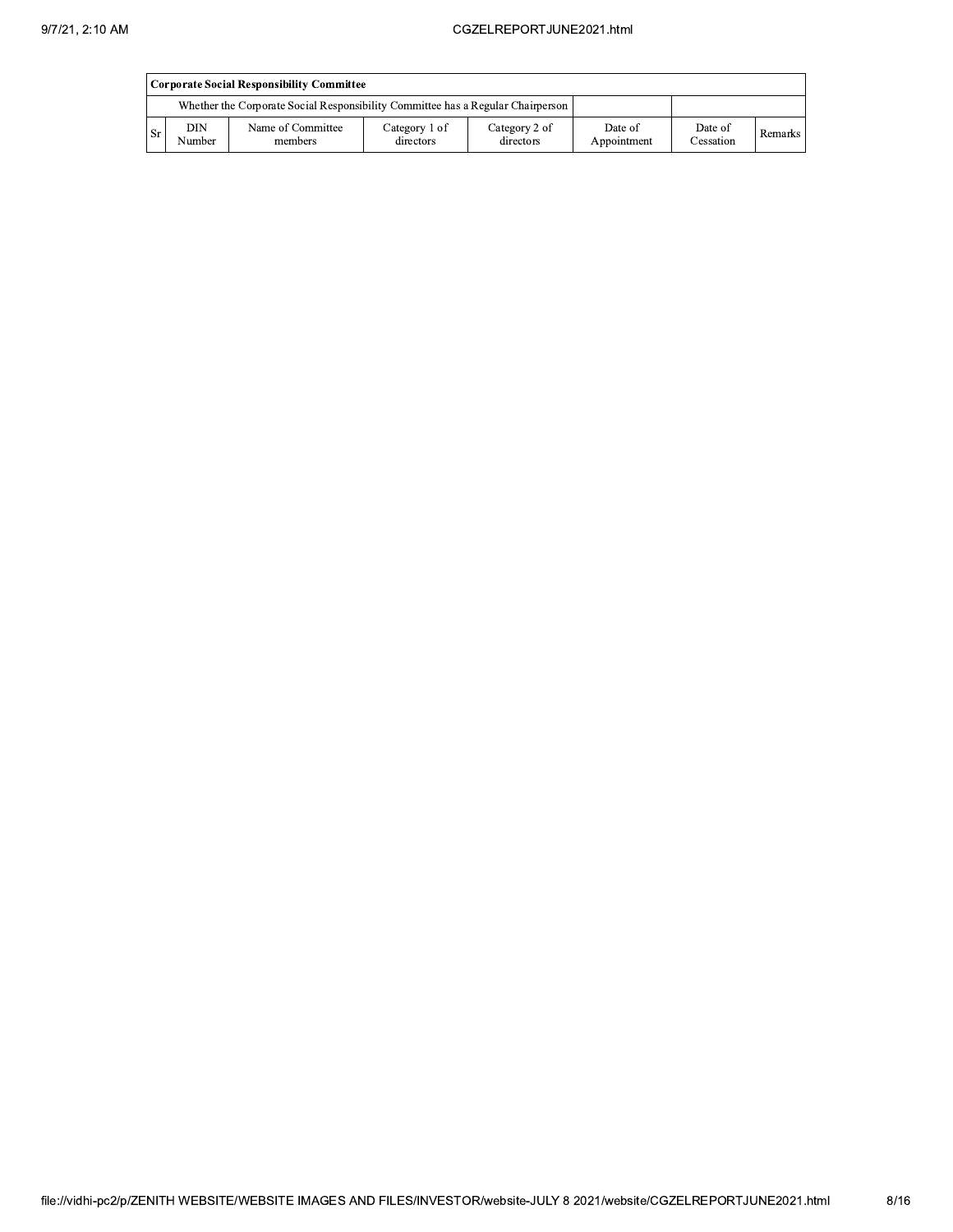|                                                                                 | Corporate Social Responsibility Committee |                              |                            |                            |                        |                      |         |  |  |  |  |  |
|---------------------------------------------------------------------------------|-------------------------------------------|------------------------------|----------------------------|----------------------------|------------------------|----------------------|---------|--|--|--|--|--|
| Whether the Corporate Social Responsibility Committee has a Regular Chairperson |                                           |                              |                            |                            |                        |                      |         |  |  |  |  |  |
| -Sr                                                                             | DIN<br>Number                             | Name of Committee<br>members | Category 1 of<br>directors | Category 2 of<br>directors | Date of<br>Appointment | Date of<br>Cessation | Remarks |  |  |  |  |  |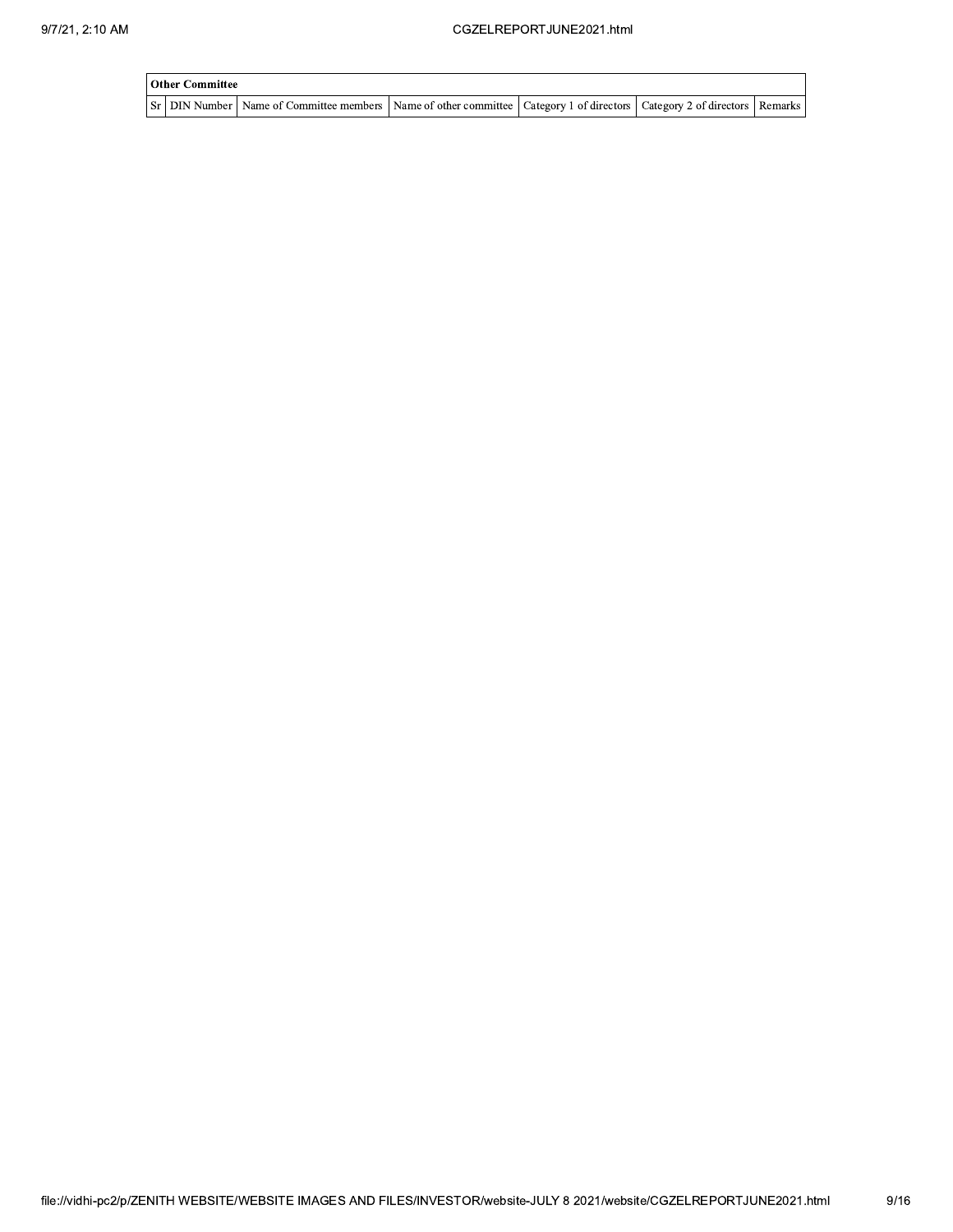| Other Committee |                                                                                                                                     |  |  |
|-----------------|-------------------------------------------------------------------------------------------------------------------------------------|--|--|
|                 | Sr   DIN Number   Name of Committee members   Name of other committee   Category 1 of directors   Category 2 of directors   Remarks |  |  |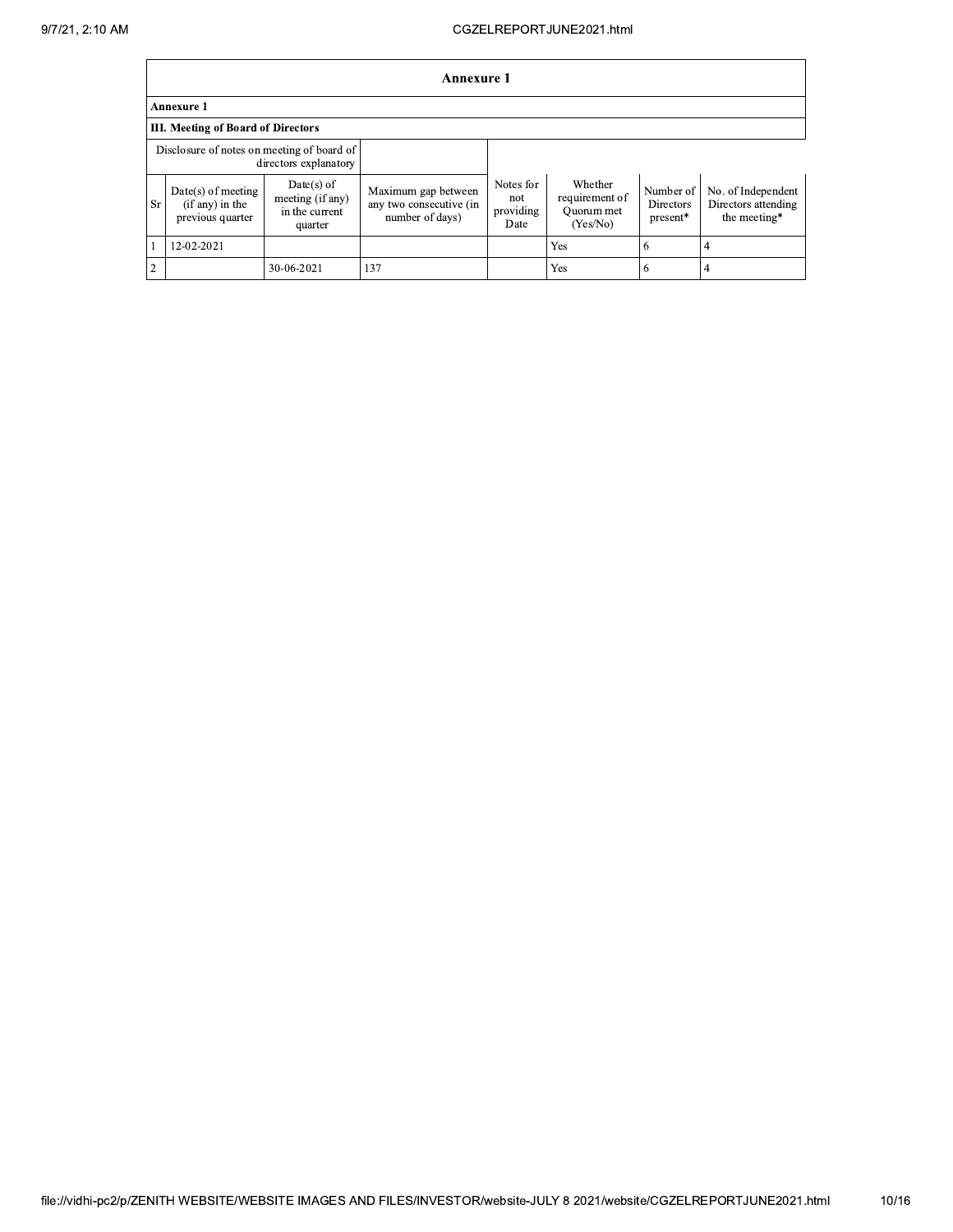|            | <b>Annexure 1</b>                                             |                                                               |                                                                   |                                       |                                                     |                                    |                                                           |  |  |  |  |
|------------|---------------------------------------------------------------|---------------------------------------------------------------|-------------------------------------------------------------------|---------------------------------------|-----------------------------------------------------|------------------------------------|-----------------------------------------------------------|--|--|--|--|
|            | <b>Annexure 1</b>                                             |                                                               |                                                                   |                                       |                                                     |                                    |                                                           |  |  |  |  |
|            | <b>III. Meeting of Board of Directors</b>                     |                                                               |                                                                   |                                       |                                                     |                                    |                                                           |  |  |  |  |
|            | Disclosure of notes on meeting of board of                    | directors explanatory                                         |                                                                   |                                       |                                                     |                                    |                                                           |  |  |  |  |
| <b>Sr</b>  | $Date(s)$ of meeting<br>$(if any)$ in the<br>previous quarter | $Date(s)$ of<br>meeting (if any)<br>in the current<br>quarter | Maximum gap between<br>any two consecutive (in<br>number of days) | Notes for<br>not<br>providing<br>Date | Whether<br>requirement of<br>Quorum met<br>(Yes/No) | Number of<br>Directors<br>present* | No. of Independent<br>Directors attending<br>the meeting* |  |  |  |  |
|            | 12-02-2021                                                    |                                                               |                                                                   |                                       | Yes                                                 | 6                                  | 4                                                         |  |  |  |  |
| $\sqrt{2}$ |                                                               | 30-06-2021                                                    | 137                                                               |                                       | Yes                                                 | 6                                  |                                                           |  |  |  |  |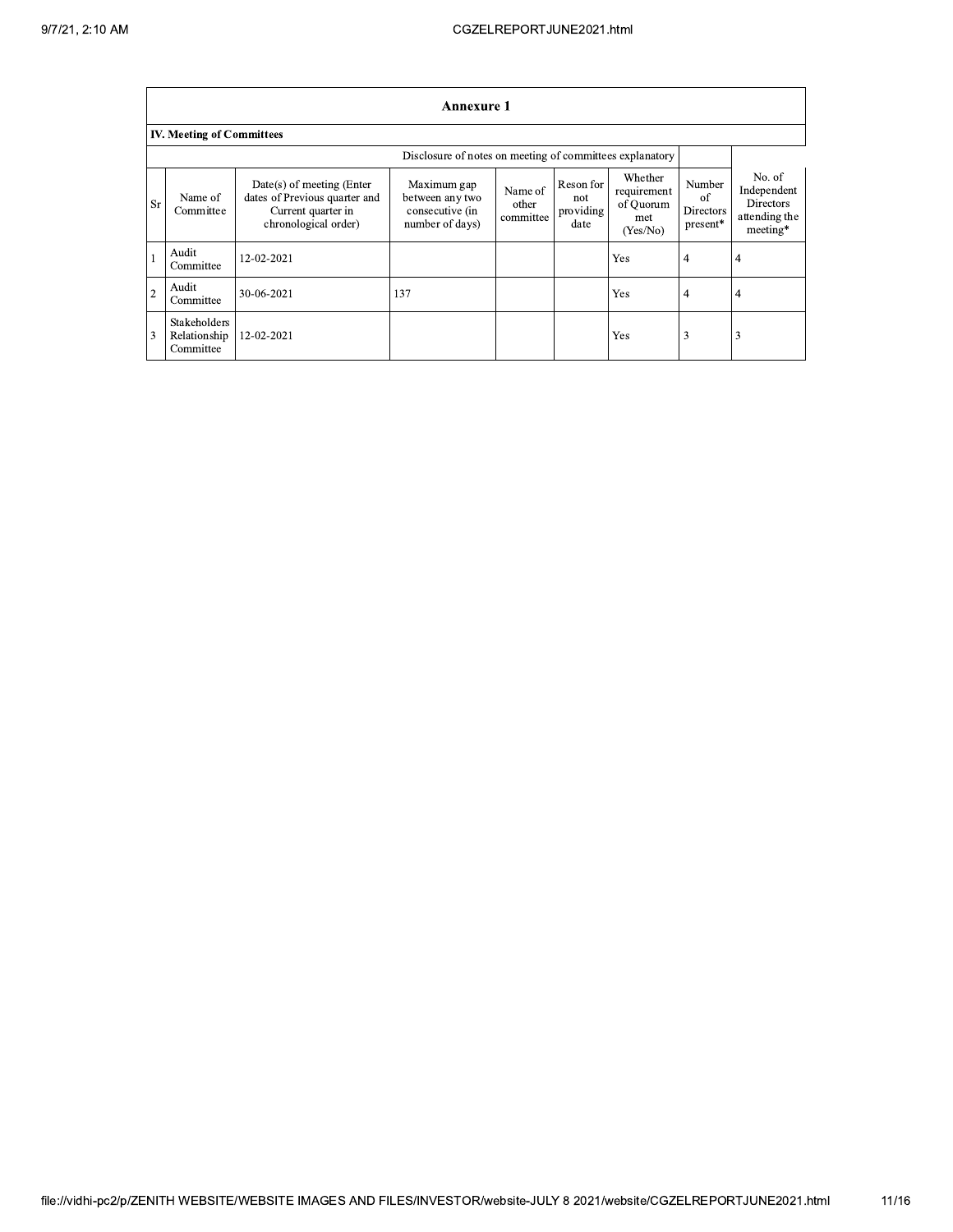|                |                                           |                                                                                                          | <b>Annexure 1</b>                                                    |                               |                                       |                                                        |                                       |                                                                        |
|----------------|-------------------------------------------|----------------------------------------------------------------------------------------------------------|----------------------------------------------------------------------|-------------------------------|---------------------------------------|--------------------------------------------------------|---------------------------------------|------------------------------------------------------------------------|
|                | <b>IV. Meeting of Committees</b>          |                                                                                                          |                                                                      |                               |                                       |                                                        |                                       |                                                                        |
|                |                                           |                                                                                                          |                                                                      |                               |                                       |                                                        |                                       |                                                                        |
| <b>Sr</b>      | Name of<br>Committee                      | Date(s) of meeting (Enter<br>dates of Previous quarter and<br>Current quarter in<br>chronological order) | Maximum gap<br>between any two<br>consecutive (in<br>number of days) | Name of<br>other<br>committee | Reson for<br>not<br>providing<br>date | Whether<br>requirement<br>of Quorum<br>met<br>(Yes/No) | Number<br>of<br>Directors<br>present* | No. of<br>Independent<br><b>Directors</b><br>attending the<br>meeting* |
|                | Audit<br>Committee                        | 12-02-2021                                                                                               |                                                                      |                               |                                       | Yes                                                    | 4                                     | 4                                                                      |
| $\overline{2}$ | Audit<br>Committee                        | 30-06-2021                                                                                               | 137                                                                  |                               |                                       | Yes                                                    | 4                                     | 4                                                                      |
| 3              | Stakeholders<br>Relationship<br>Committee | 12-02-2021                                                                                               |                                                                      |                               |                                       | Yes                                                    | 3                                     | 3                                                                      |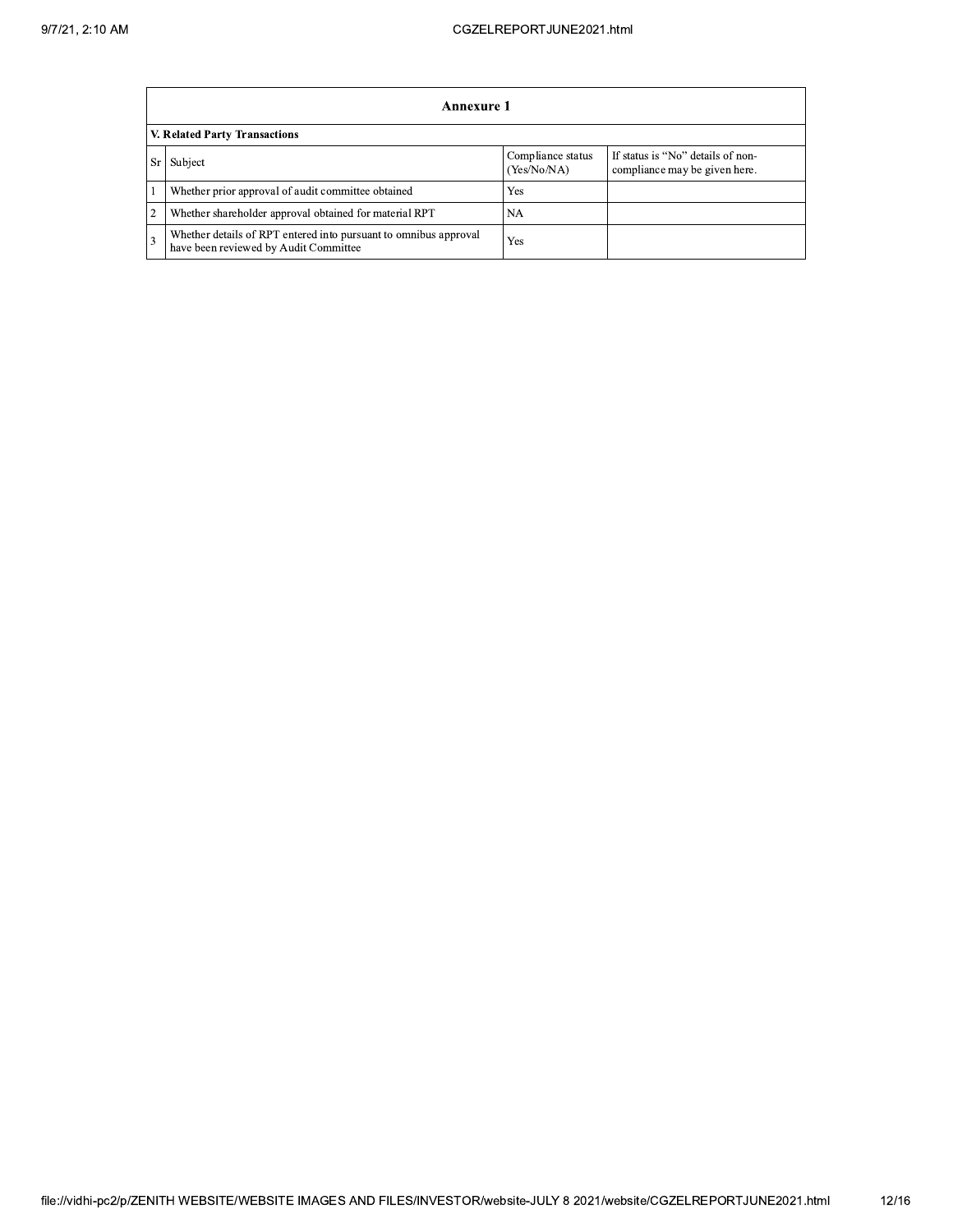|                               | Annexure 1                                                                                                |                                  |                                                                    |  |  |  |
|-------------------------------|-----------------------------------------------------------------------------------------------------------|----------------------------------|--------------------------------------------------------------------|--|--|--|
| V. Related Party Transactions |                                                                                                           |                                  |                                                                    |  |  |  |
|                               | Subject                                                                                                   | Compliance status<br>(Yes/No/NA) | If status is "No" details of non-<br>compliance may be given here. |  |  |  |
|                               | Whether prior approval of audit committee obtained                                                        | Yes                              |                                                                    |  |  |  |
| $\overline{2}$                | Whether shareholder approval obtained for material RPT                                                    | NA.                              |                                                                    |  |  |  |
| 3                             | Whether details of RPT entered into pursuant to omnibus approval<br>have been reviewed by Audit Committee | Yes                              |                                                                    |  |  |  |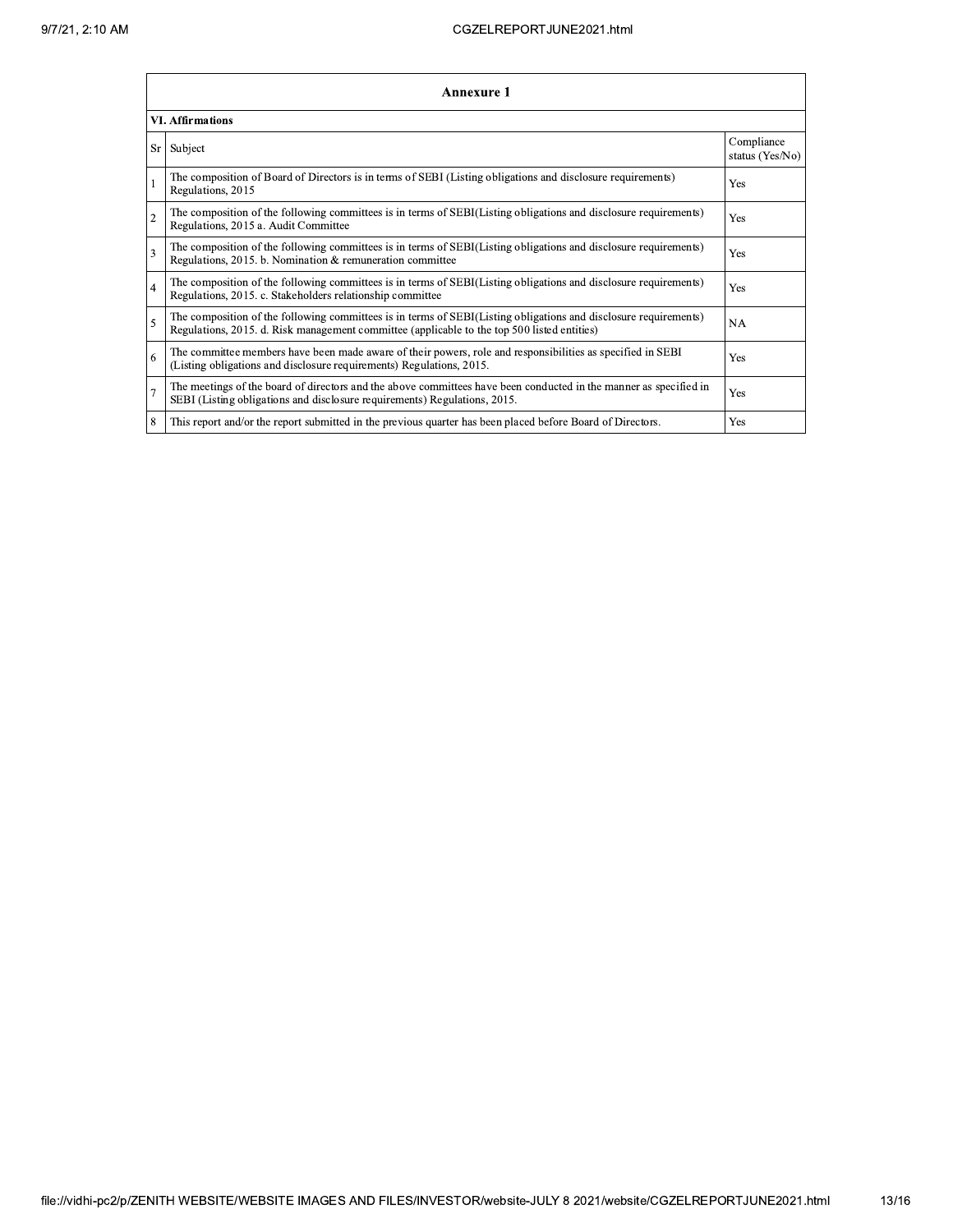|                         | <b>Annexure 1</b>                                                                                                                                                                                               |                               |  |  |  |  |
|-------------------------|-----------------------------------------------------------------------------------------------------------------------------------------------------------------------------------------------------------------|-------------------------------|--|--|--|--|
| <b>VI. Affirmations</b> |                                                                                                                                                                                                                 |                               |  |  |  |  |
| Sr                      | Subject                                                                                                                                                                                                         | Compliance<br>status (Yes/No) |  |  |  |  |
|                         | The composition of Board of Directors is in terms of SEBI (Listing obligations and disclosure requirements)<br>Regulations, 2015                                                                                | Yes                           |  |  |  |  |
| $\overline{2}$          | The composition of the following committees is in terms of SEBI(Listing obligations and disclosure requirements)<br>Regulations, 2015 a. Audit Committee                                                        | Yes                           |  |  |  |  |
| 3                       | The composition of the following committees is in terms of SEBI(Listing obligations and disclosure requirements)<br>Regulations, 2015. b. Nomination & remuneration committee                                   | Yes                           |  |  |  |  |
| $\overline{4}$          | The composition of the following committees is in terms of SEBI(Listing obligations and disclosure requirements)<br>Regulations, 2015. c. Stakeholders relationship committee                                   | Yes                           |  |  |  |  |
| 5                       | The composition of the following committees is in terms of SEBI(Listing obligations and disclosure requirements)<br>Regulations, 2015. d. Risk management committee (applicable to the top 500 listed entities) | <b>NA</b>                     |  |  |  |  |
| 6                       | The committee members have been made aware of their powers, role and responsibilities as specified in SEBI<br>(Listing obligations and disclosure requirements) Regulations, 2015.                              | Yes                           |  |  |  |  |
| $\overline{7}$          | The meetings of the board of directors and the above committees have been conducted in the manner as specified in<br>SEBI (Listing obligations and disclosure requirements) Regulations, 2015.                  | Yes                           |  |  |  |  |
| 8                       | This report and/or the report submitted in the previous quarter has been placed before Board of Directors.                                                                                                      | Yes                           |  |  |  |  |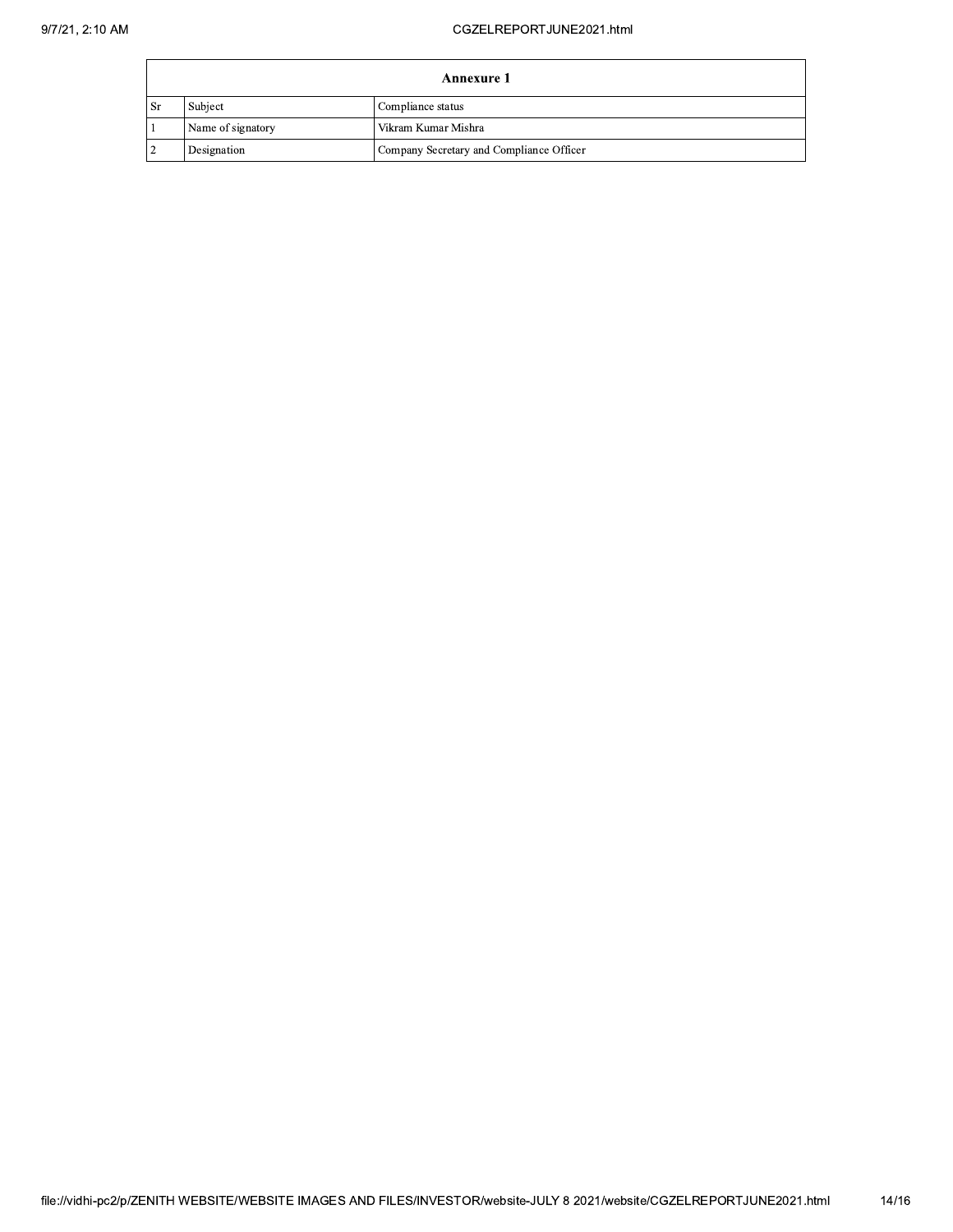| Annexure 1 |                   |                                          |  |
|------------|-------------------|------------------------------------------|--|
| ı Sr       | Subject           | Compliance status                        |  |
|            | Name of signatory | Vikram Kumar Mishra                      |  |
|            | Designation       | Company Secretary and Compliance Officer |  |